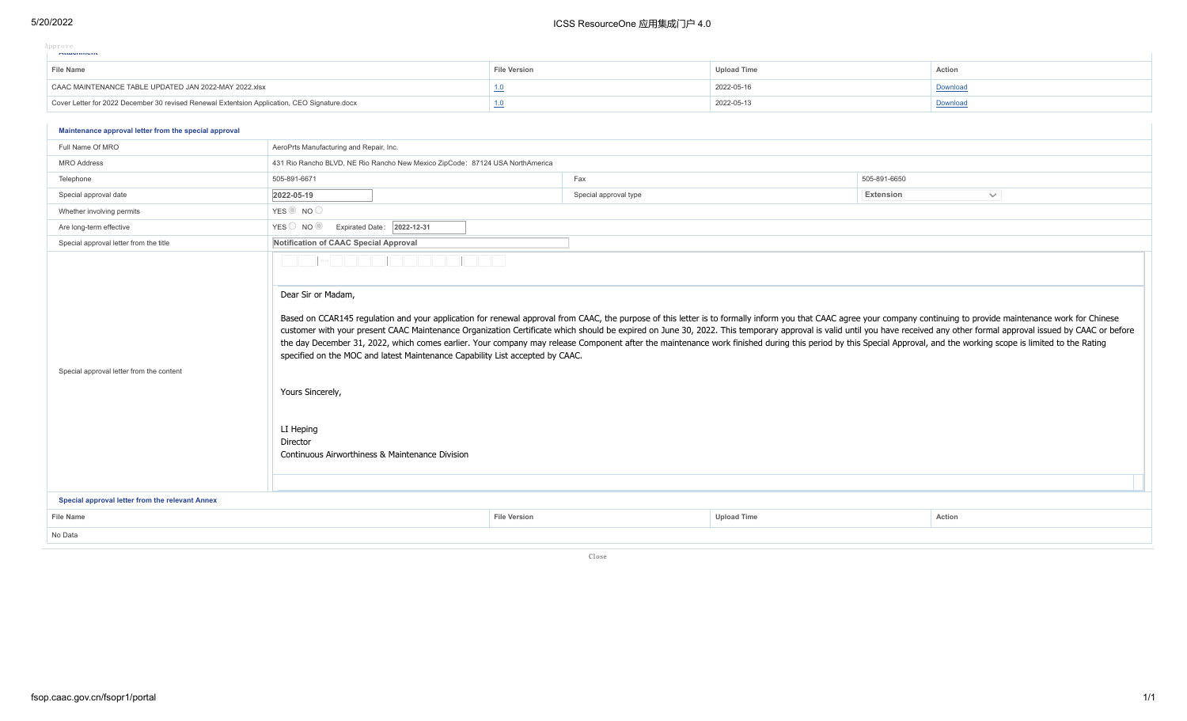### 5/20/2022 ICSS ResourceOne 应用集成门户 4.0

| Approve |  |  |  |                     |  |
|---------|--|--|--|---------------------|--|
|         |  |  |  | <b>MUGUILITURIS</b> |  |

| <b>File Name</b>                                                                             | File Version | Jpload Time | Action  |
|----------------------------------------------------------------------------------------------|--------------|-------------|---------|
| CAAC MAINTENANCE TABLE UPDATED JAN 2022-MAY 2022.xlsx                                        |              | 2022-05-16  | Jownloa |
| Cover Letter for 2022 December 30 revised Renewal Extentsion Application, CEO Signature.docx |              | 2022-05-13  | Downloa |

### **Application No. Application Title Application Person Application Date Status Action Maintenance approval letter from the special approval**

| Full Name Of MRO                                                                            | AeroPrts Manufacturing and Repair, Inc.                                                                                                                                                                                                                                                                                                                                                                                                                                                                                                                                                                                                                                                                                                                                                                                                                                                                                                    |                       |                    |                           |  |  |  |
|---------------------------------------------------------------------------------------------|--------------------------------------------------------------------------------------------------------------------------------------------------------------------------------------------------------------------------------------------------------------------------------------------------------------------------------------------------------------------------------------------------------------------------------------------------------------------------------------------------------------------------------------------------------------------------------------------------------------------------------------------------------------------------------------------------------------------------------------------------------------------------------------------------------------------------------------------------------------------------------------------------------------------------------------------|-----------------------|--------------------|---------------------------|--|--|--|
| <b>MRO</b> Address                                                                          | 431 Rio Rancho BLVD, NE Rio Rancho New Mexico ZipCode: 87124 USA NorthAmerica                                                                                                                                                                                                                                                                                                                                                                                                                                                                                                                                                                                                                                                                                                                                                                                                                                                              |                       |                    |                           |  |  |  |
| Telephone                                                                                   | 505-891-6671                                                                                                                                                                                                                                                                                                                                                                                                                                                                                                                                                                                                                                                                                                                                                                                                                                                                                                                               | Fax                   |                    | 505-891-6650              |  |  |  |
| Special approval date                                                                       | 2022-05-19                                                                                                                                                                                                                                                                                                                                                                                                                                                                                                                                                                                                                                                                                                                                                                                                                                                                                                                                 | Special approval type |                    | Extension<br>$\checkmark$ |  |  |  |
| Whether involving permits                                                                   | YES NO                                                                                                                                                                                                                                                                                                                                                                                                                                                                                                                                                                                                                                                                                                                                                                                                                                                                                                                                     |                       |                    |                           |  |  |  |
| Are long-term effective                                                                     | YES NO O<br>Expirated Date: 2022-12-31                                                                                                                                                                                                                                                                                                                                                                                                                                                                                                                                                                                                                                                                                                                                                                                                                                                                                                     |                       |                    |                           |  |  |  |
| Special approval letter from the title                                                      | Notification of CAAC Special Approval                                                                                                                                                                                                                                                                                                                                                                                                                                                                                                                                                                                                                                                                                                                                                                                                                                                                                                      |                       |                    |                           |  |  |  |
| Special approval letter from the content<br>Special approval letter from the relevant Annex | <b>Contract Contract Contract</b><br><b>The Common</b><br>Dear Sir or Madam,<br>Based on CCAR145 regulation and your application for renewal approval from CAAC, the purpose of this letter is to formally inform you that CAAC agree your company continuing to provide maintenance work for Chinese<br>customer with your present CAAC Maintenance Organization Certificate which should be expired on June 30, 2022. This temporary approval is valid until you have received any other formal approval issued by CAAC or before<br>the day December 31, 2022, which comes earlier. Your company may release Component after the maintenance work finished during this period by this Special Approval, and the working scope is limited to the Rating<br>specified on the MOC and latest Maintenance Capability List accepted by CAAC.<br>Yours Sincerely,<br>LI Heping<br>Director<br>Continuous Airworthiness & Maintenance Division |                       |                    |                           |  |  |  |
|                                                                                             |                                                                                                                                                                                                                                                                                                                                                                                                                                                                                                                                                                                                                                                                                                                                                                                                                                                                                                                                            |                       |                    |                           |  |  |  |
| <b>File Name</b>                                                                            |                                                                                                                                                                                                                                                                                                                                                                                                                                                                                                                                                                                                                                                                                                                                                                                                                                                                                                                                            | <b>File Version</b>   | <b>Upload Time</b> | Action                    |  |  |  |
| No Data                                                                                     |                                                                                                                                                                                                                                                                                                                                                                                                                                                                                                                                                                                                                                                                                                                                                                                                                                                                                                                                            |                       |                    |                           |  |  |  |

Close

 $\mathbf{L}$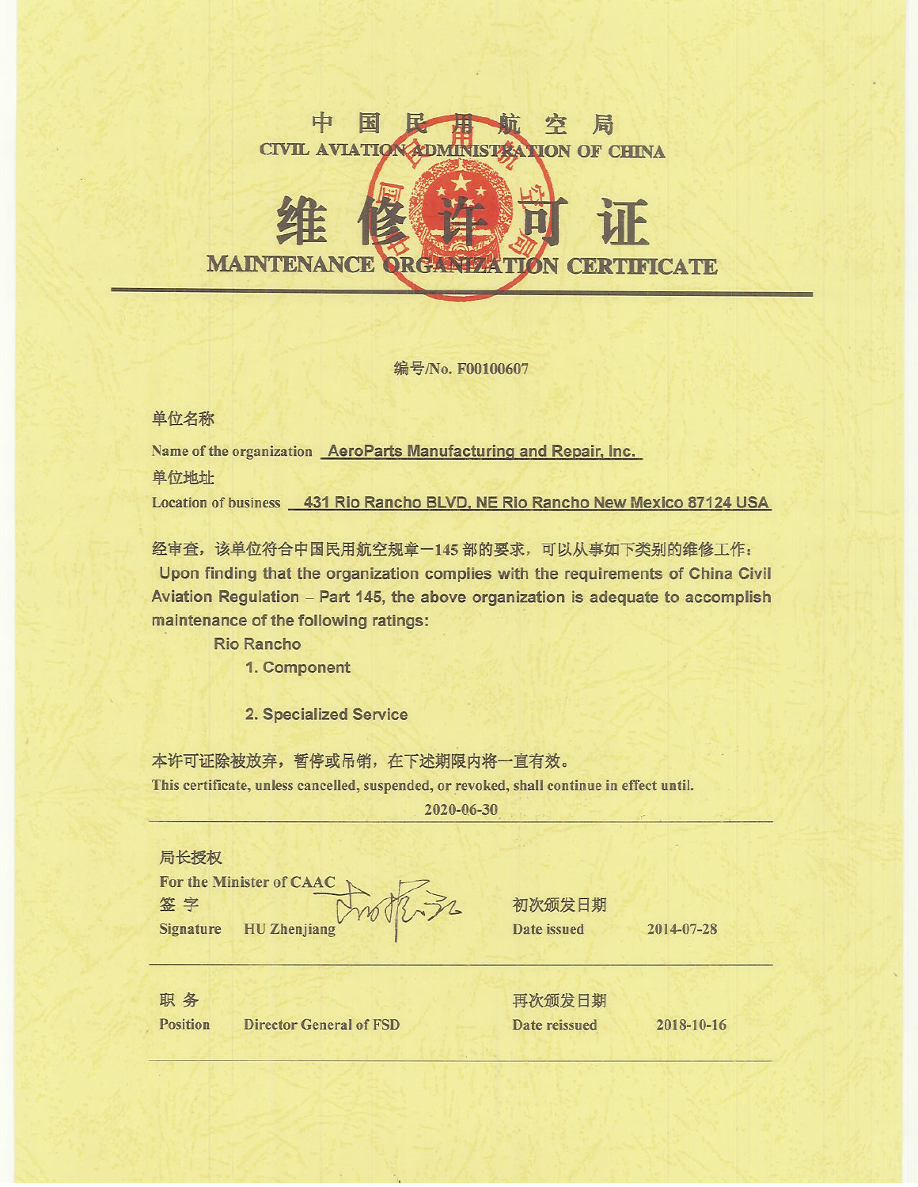### मंग E 容 局 **CIVIL AVIATIO ION OF CHINA**

## **MAINTENANCE ORGAN FICATE ZATION CER**

编号/No. F00100607

单位名称

Name of the organization AeroParts Manufacturing and Repair, Inc. 单位地址 Location of business 431 Rio Rancho BLVD, NE Rio Rancho New Mexico 87124 USA

经审查,该单位符合中国民用航空规章-145部的要求,可以从事如下类别的维修工作: Upon finding that the organization complies with the requirements of China Civil Aviation Regulation - Part 145, the above organization is adequate to accomplish maintenance of the following ratings:

**Rio Rancho** 

1. Component

2. Specialized Service

本许可证除被放弃,暂停或吊销,在下述期限内将一直有效。 This certificate, unless cancelled, suspended, or revoked, shall continue in effect until.

2020-06-30

局长授权 **For the Minister of CAAC** 签字 **Signature HU** Zhenjiang

初次颁发日期 Date issued

2014-07-28

职务

**Position** 

**Director General of FSD** 

再次颁发日期 Date reissued

2018-10-16